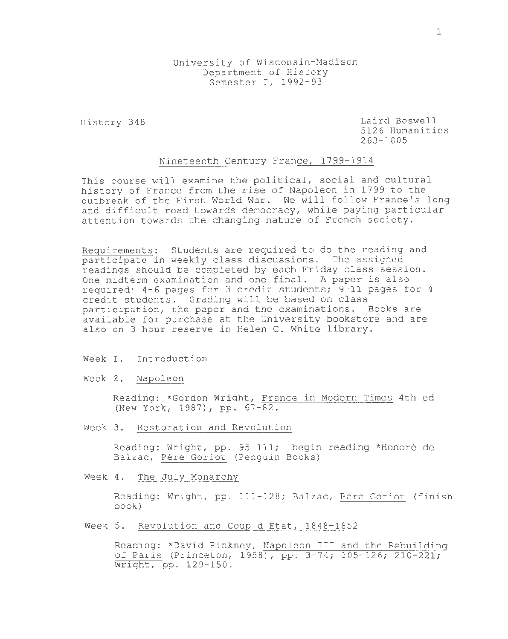University of Wisconsin-Madison Department of History Semester I, 1992-93

History 348 Laird Boswell 5126 Humanities 263-1805

## Nineteenth Century France, 1799-1914

This course will examine the political, social and cultural history of France from the rise of Napoleon in 1799 to the outbreak of the First World War. We will follow France's long and difficult road towards democracy, while paying particular attention towards the changing nature of French society.

Requirements: Students are required to do the reading and participate in weekly class discussions. The assigned readings should be completed by each Friday class session. One midterm examination and one final. A paper is also required: 4-6 pages for 3 credit students; 9-11 pages for 4 credit students. Grading will be based on class participation, the paper and the examinations. Books are available for purchase at the University bookstore and are also on 3 hour reserve in Helen C. White library.

- Week I. Introduction
- Week 2. Napoleon

Reading: \*Gordon Wright, France in Modern Times 4th ed (New York, 1987), pp. 67-82.

Week 3. Restoration and Revolution

Reading: Wright, pp. 95-111; begin reading \*Honoré de Balzac, Pere Goriot (Penguin Books)

Week 4. The July Monarchy

Reading: Wright, pp. 111-128; Balzac, Pere Goriot (finish book)

Week 5. Revolution and Coup d'Etat, 1848-1852

Reading: \*David Pinkney, Napoleon III and the Rebuilding of Paris (Princeton, 1958), pp. 3-74; 105-126; 210-221; Wright, pp. 129-150.